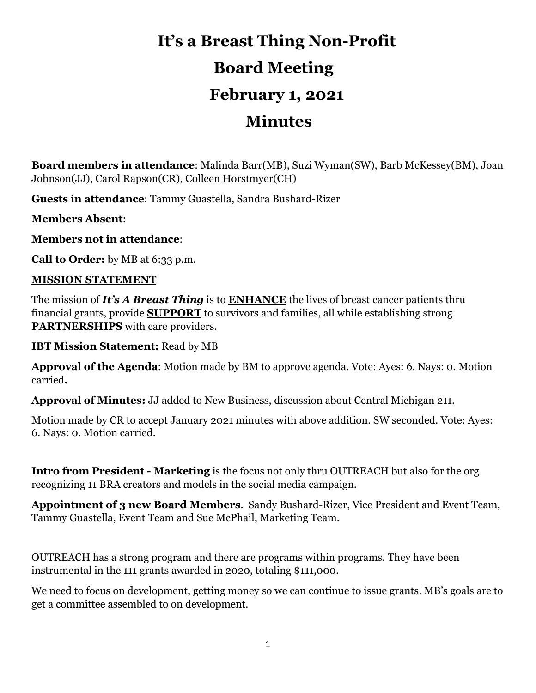# **It's a Breast Thing Non-Profit Board Meeting February 1, 2021 Minutes**

**Board members in attendance**: Malinda Barr(MB), Suzi Wyman(SW), Barb McKessey(BM), Joan Johnson(JJ), Carol Rapson(CR), Colleen Horstmyer(CH)

**Guests in attendance**: Tammy Guastella, Sandra Bushard-Rizer

**Members Absent**:

**Members not in attendance**:

**Call to Order:** by MB at 6:33 p.m.

#### **MISSION STATEMENT**

The mission of *It's A Breast Thing* is to **ENHANCE** the lives of breast cancer patients thru financial grants, provide **SUPPORT** to survivors and families, all while establishing strong **PARTNERSHIPS** with care providers.

**IBT Mission Statement:** Read by MB

**Approval of the Agenda**: Motion made by BM to approve agenda. Vote: Ayes: 6. Nays: 0. Motion carried**.**

**Approval of Minutes:** JJ added to New Business, discussion about Central Michigan 211.

Motion made by CR to accept January 2021 minutes with above addition. SW seconded. Vote: Ayes: 6. Nays: 0. Motion carried.

**Intro from President - Marketing** is the focus not only thru OUTREACH but also for the org recognizing 11 BRA creators and models in the social media campaign.

**Appointment of 3 new Board Members**. Sandy Bushard-Rizer, Vice President and Event Team, Tammy Guastella, Event Team and Sue McPhail, Marketing Team.

OUTREACH has a strong program and there are programs within programs. They have been instrumental in the 111 grants awarded in 2020, totaling \$111,000.

We need to focus on development, getting money so we can continue to issue grants. MB's goals are to get a committee assembled to on development.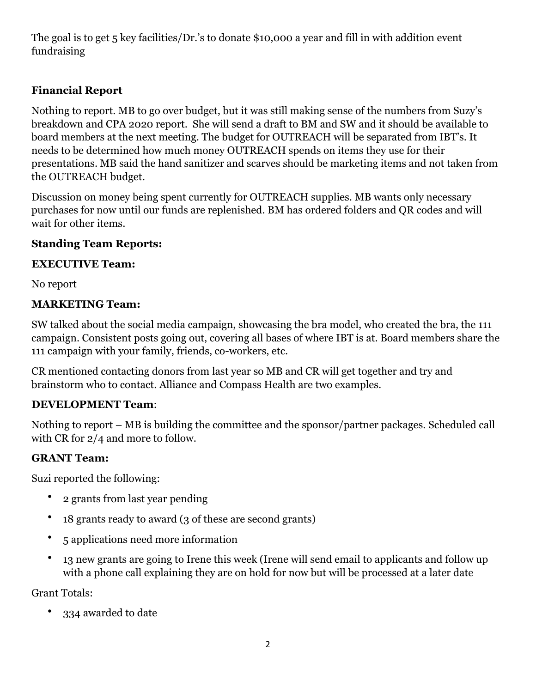The goal is to get 5 key facilities/Dr.'s to donate \$10,000 a year and fill in with addition event fundraising

### **Financial Report**

Nothing to report. MB to go over budget, but it was still making sense of the numbers from Suzy's breakdown and CPA 2020 report. She will send a draft to BM and SW and it should be available to board members at the next meeting. The budget for OUTREACH will be separated from IBT's. It needs to be determined how much money OUTREACH spends on items they use for their presentations. MB said the hand sanitizer and scarves should be marketing items and not taken from the OUTREACH budget.

Discussion on money being spent currently for OUTREACH supplies. MB wants only necessary purchases for now until our funds are replenished. BM has ordered folders and QR codes and will wait for other items.

#### **Standing Team Reports:**

#### **EXECUTIVE Team:**

No report

#### **MARKETING Team:**

SW talked about the social media campaign, showcasing the bra model, who created the bra, the 111 campaign. Consistent posts going out, covering all bases of where IBT is at. Board members share the 111 campaign with your family, friends, co-workers, etc.

CR mentioned contacting donors from last year so MB and CR will get together and try and brainstorm who to contact. Alliance and Compass Health are two examples.

#### **DEVELOPMENT Team**:

Nothing to report – MB is building the committee and the sponsor/partner packages. Scheduled call with CR for 2/4 and more to follow.

#### **GRANT Team:**

Suzi reported the following:

- 2 grants from last year pending
- 18 grants ready to award (3 of these are second grants)
- 5 applications need more information
- 13 new grants are going to Irene this week (Irene will send email to applicants and follow up with a phone call explaining they are on hold for now but will be processed at a later date

Grant Totals:

• 334 awarded to date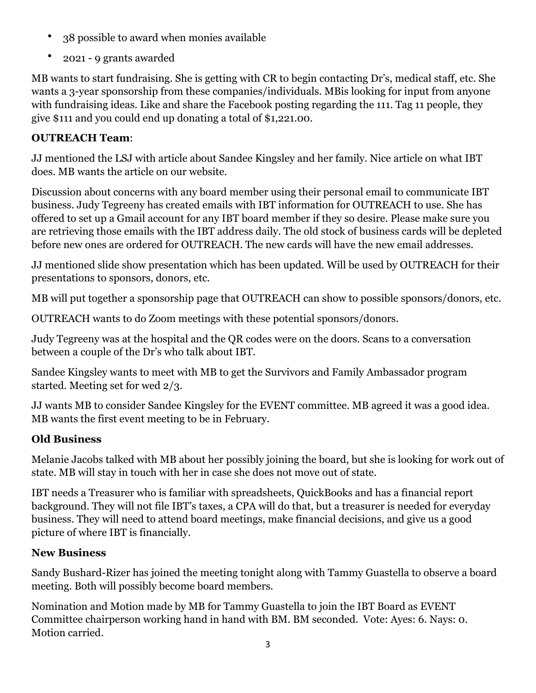- 38 possible to award when monies available
- 2021 9 grants awarded

MB wants to start fundraising. She is getting with CR to begin contacting Dr's, medical staff, etc. She wants a 3-year sponsorship from these companies/individuals. MBis looking for input from anyone with fundraising ideas. Like and share the Facebook posting regarding the 111. Tag 11 people, they give \$111 and you could end up donating a total of \$1,221.00.

## **OUTREACH Team**:

JJ mentioned the LSJ with article about Sandee Kingsley and her family. Nice article on what IBT does. MB wants the article on our website.

Discussion about concerns with any board member using their personal email to communicate IBT business. Judy Tegreeny has created emails with IBT information for OUTREACH to use. She has offered to set up a Gmail account for any IBT board member if they so desire. Please make sure you are retrieving those emails with the IBT address daily. The old stock of business cards will be depleted before new ones are ordered for OUTREACH. The new cards will have the new email addresses.

JJ mentioned slide show presentation which has been updated. Will be used by OUTREACH for their presentations to sponsors, donors, etc.

MB will put together a sponsorship page that OUTREACH can show to possible sponsors/donors, etc.

OUTREACH wants to do Zoom meetings with these potential sponsors/donors.

Judy Tegreeny was at the hospital and the QR codes were on the doors. Scans to a conversation between a couple of the Dr's who talk about IBT.

Sandee Kingsley wants to meet with MB to get the Survivors and Family Ambassador program started. Meeting set for wed 2/3.

JJ wants MB to consider Sandee Kingsley for the EVENT committee. MB agreed it was a good idea. MB wants the first event meeting to be in February.

# **Old Business**

Melanie Jacobs talked with MB about her possibly joining the board, but she is looking for work out of state. MB will stay in touch with her in case she does not move out of state.

IBT needs a Treasurer who is familiar with spreadsheets, QuickBooks and has a financial report background. They will not file IBT's taxes, a CPA will do that, but a treasurer is needed for everyday business. They will need to attend board meetings, make financial decisions, and give us a good picture of where IBT is financially.

# **New Business**

Sandy Bushard-Rizer has joined the meeting tonight along with Tammy Guastella to observe a board meeting. Both will possibly become board members.

Nomination and Motion made by MB for Tammy Guastella to join the IBT Board as EVENT Committee chairperson working hand in hand with BM. BM seconded. Vote: Ayes: 6. Nays: 0. Motion carried.